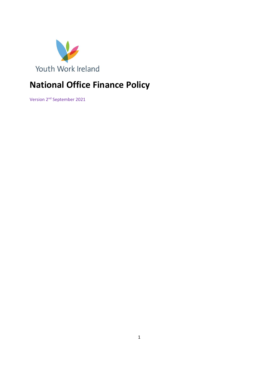

# **National Office Finance Policy**

Version 2<sup>nd</sup> September 2021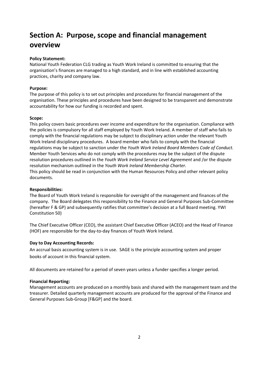# **Section A: Purpose, scope and financial management overview**

### **Policy Statement:**

National Youth Federation CLG trading as Youth Work Ireland is committed to ensuring that the organisation's finances are managed to a high standard, and in line with established accounting practices, charity and company law.

### **Purpose:**

The purpose of this policy is to set out principles and procedures for financial management of the organisation. These principles and procedures have been designed to be transparent and demonstrate accountability for how our funding is recorded and spent.

### **Scope:**

This policy covers basic procedures over income and expenditure for the organisation. Compliance with the policies is compulsory for all staff employed by Youth Work Ireland. A member of staff who fails to comply with the financial regulations may be subject to disciplinary action under the relevant Youth Work Ireland disciplinary procedures. A board member who fails to comply with the financial regulations may be subject to sanction under the *Youth Work Ireland Board Members Code of Conduct.* Member Youth Services who do not comply with the procedures may be the subject of the dispute resolution procedures outlined in the *Youth Work Ireland Service Level Agreement* and /or the dispute resolution mechanism outlined in the *Youth Work Ireland Membership Charter.* This policy should be read in conjunction with the Human Resources Policy and other relevant policy documents.

## **Responsibilities:**

The Board of Youth Work Ireland is responsible for oversight of the management and finances of the company. The Board delegates this responsibility to the Finance and General Purposes Sub-Committee (hereafter F & GP) and subsequently ratifies that committee's decision at a full Board meeting. YWI Constitution 50)

The Chief Executive Officer (CEO), the assistant Chief Executive Officer (ACEO) and the Head of Finance (HOF) are responsible for the day-to-day finances of Youth Work Ireland.

## **Day to Day Accounting Records:**

An accrual basis accounting system is in use. SAGE is the principle accounting system and proper books of account in this financial system.

All documents are retained for a period of seven years unless a funder specifies a longer period.

#### **Financial Reporting:**

Management accounts are produced on a monthly basis and shared with the management team and the treasurer. Detailed quarterly management accounts are produced for the approval of the Finance and General Purposes Sub-Group [F&GP] and the board.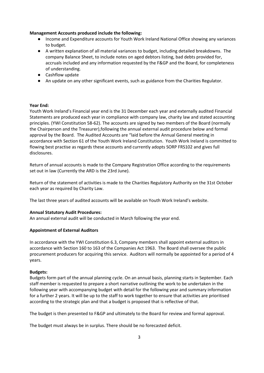#### **Management Accounts produced include the following:**

- Income and Expenditure accounts for Youth Work Ireland National Office showing any variances to budget.
- A written explanation of all material variances to budget, including detailed breakdowns. The company Balance Sheet, to include notes on aged debtors listing, bad debts provided for, accruals included and any information requested by the F&GP and the Board, for completeness of understanding.
- Cashflow update
- An update on any other significant events, such as guidance from the Charities Regulator.

#### **Year End:**

Youth Work Ireland's Financial year end is the 31 December each year and externally audited Financial Statements are produced each year in compliance with company law, charity law and stated accounting principles. (YWI Constitution 58-62). The accounts are signed by two members of the Board (normally the Chairperson and the Treasurer),following the annual external audit procedure below and formal approval by the Board. The Audited Accounts are "laid before the Annual General meeting in accordance with Section 61 of the Youth Work Ireland Constitution. Youth Work Ireland is committed to flowing best practise as regards these accounts and currently adopts SORP FRS102 and gives full disclosures.

Return of annual accounts is made to the Company Registration Office according to the requirements set out in law (Currently the ARD is the 23rd June).

Return of the statement of activities is made to the Charities Regulatory Authority on the 31st October each year as required by Charity Law.

The last three years of audited accounts will be available on Youth Work Ireland's website.

#### **Annual Statutory Audit Procedures:**

An annual external audit will be conducted in March following the year end.

#### **Appointment of External Auditors**

In accordance with the YWI Constitution 6.3, Company members shall appoint external auditors in accordance with Section 160 to 163 of the Companies Act 1963. The Board shall oversee the public procurement producers for acquiring this service. Auditors will normally be appointed for a period of 4 years.

#### **Budgets:**

Budgets form part of the annual planning cycle. On an annual basis, planning starts in September. Each staff member is requested to prepare a short narrative outlining the work to be undertaken in the following year with accompanying budget with detail for the following year and summary information for a further 2 years. It will be up to the staff to work together to ensure that activities are prioritised according to the strategic plan and that a budget is proposed that is reflective of that.

The budget is then presented to F&GP and ultimately to the Board for review and formal approval.

The budget must always be in surplus. There should be no forecasted deficit.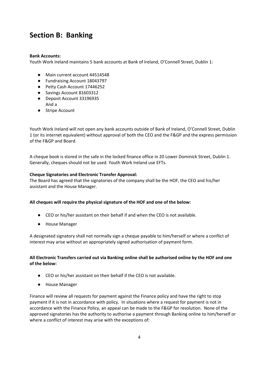## **Section B: Banking**

### **Bank Accounts:**

Youth Work Ireland maintains 5 bank accounts at Bank of Ireland, O'Connell Street, Dublin 1:

- Main current account 44514548
- Fundraising Account 18043797
- Petty Cash Account 17446252
- Savings Account 81603312
- Deposit Account 33196935 And a
- Stripe Account

Youth Work Ireland will not open any bank accounts outside of Bank of Ireland, O'Connell Street, Dublin 1 (or its internet equivalent) without approval of both the CEO and the F&GP and the express permission of the F&GP and Board.

A cheque book is stored in the safe in the locked finance office in 20 Lower Dominick Street, Dublin 1. Generally, cheques should not be used. Youth Work Ireland use EFTs.

### **Cheque Signatories and Electronic Transfer Approval:**

The Board has agreed that the signatories of the company shall be the HOF, the CEO and his/her assistant and the House Manager.

#### **All cheques will require the physical signature of the HOF and one of the below:**

- CEO or his/her assistant on their behalf if and when the CEO is not available.
- House Manager

A designated signatory shall not normally sign a cheque payable to him/herself or where a conflict of interest may arise without an appropriately signed authorisation of payment form.

### **All Electronic Transfers carried out via Banking online shall be authorised online by the HOF and one of the below:**

- CEO or his/her assistant on their behalf if the CEO is not available.
- House Manager

Finance will review all requests for payment against the Finance policy and have the right to stop payment if it is not in accordance with policy. In situations where a request for payment is not in accordance with the Finance Policy, an appeal can be made to the F&GP for resolution. None of the approved signatories has the authority to authorise a payment through Banking online to him/herself or where a conflict of interest may arise with the exceptions of: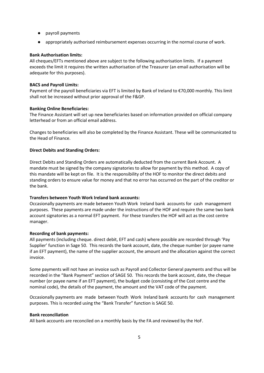- payroll payments
- appropriately authorised reimbursement expenses occurring in the normal course of work.

#### **Bank Authorisation limits:**

All cheques/EFTs mentioned above are subject to the following authorisation limits. If a payment exceeds the limit it requires the written authorisation of the Treasurer (an email authorisation will be adequate for this purposes).

#### **BACS and Payroll Limits:**

Payment of the payroll beneficiaries via EFT is limited by Bank of Ireland to €70,000 monthly. This limit shall not be increased without prior approval of the F&GP.

#### **Banking Online Beneficiaries:**

The Finance Assistant will set up new beneficiaries based on information provided on official company letterhead or from an official email address.

Changes to beneficiaries will also be completed by the Finance Assistant. These will be communicated to the Head of Finance.

#### **Direct Debits and Standing Orders:**

Direct Debits and Standing Orders are automatically deducted from the current Bank Account. A mandate must be signed by the company signatories to allow for payment by this method. A copy of this mandate will be kept on file. It is the responsibility of the HOF to monitor the direct debits and standing orders to ensure value for money and that no error has occurred on the part of the creditor or the bank.

#### **Transfers between Youth Work Ireland bank accounts:**

Occasionally payments are made between Youth Work Ireland bank accounts for cash management purposes. These payments are made under the instructions of the HOF and require the same two bank account signatories as a normal EFT payment. For these transfers the HOF will act as the cost centre manager.

#### **Recording of bank payments:**

All payments (including cheque. direct debit, EFT and cash) where possible are recorded through 'Pay Supplier' function in Sage 50. This records the bank account, date, the cheque number (or payee name if an EFT payment), the name of the supplier account, the amount and the allocation against the correct invoice.

Some payments will not have an invoice such as Payroll and Collector General payments and thus will be recorded in the "Bank Payment" section of SAGE 50. This records the bank account, date, the cheque number (or payee name if an EFT payment), the budget code (consisting of the Cost centre and the nominal code), the details of the payment, the amount and the VAT code of the payment.

Occasionally payments are made between Youth Work Ireland bank accounts for cash management purposes. This is recorded using the "Bank Transfer" function is SAGE 50.

#### **Bank reconciliation**

All bank accounts are reconciled on a monthly basis by the FA and reviewed by the HoF.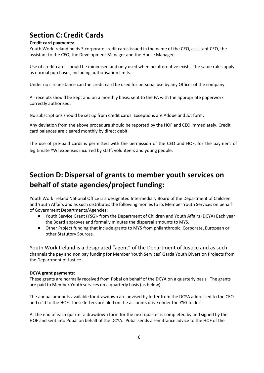# **Section C: Credit Cards**

### **Credit card payments:**

Youth Work Ireland holds 3 corporate credit cards issued in the name of the CEO, assistant CEO, the assistant to the CEO, the Development Manager and the House Manager.

Use of credit cards should be minimised and only used when no alternative exists. The same rules apply as normal purchases, including authorisation limits.

Under no circumstance can the credit card be used for personal use by any Officer of the company.

All receipts should be kept and on a monthly basis, sent to the FA with the appropriate paperwork correctly authorised.

No subscriptions should be set up from credit cards. Exceptions are Adobe and Jot form.

Any deviation from the above procedure should be reported by the HOF and CEO immediately. Credit card balances are cleared monthly by direct debit.

The use of pre-paid cards is permitted with the permission of the CEO and HOF, for the payment of legitimate YWI expenses incurred by staff, volunteers and young people.

# **Section D: Dispersal of grants to member youth services on behalf of state agencies/project funding:**

Youth Work Ireland National Office is a designated Intermediary Board of the Department of Children and Youth Affairs and as such distributes the following monies to its Member Youth Services on behalf of Government Departments/Agencies:

- Youth Service Grant (YSG)- from the Department of Children and Youth Affairs (DCYA) Each year the Board approves and formally minutes the dispersal amounts to MYS.
- Other Project funding that include grants to MYS from philanthropic, Corporate, European or other Statutory Sources.

Youth Work Ireland is a designated "agent" of the Department of Justice and as such channels the pay and non pay funding for Member Youth Services' Garda Youth Diversion Projects from the Department of Justice.

## **DCYA grant payments**:

These grants are normally received from Pobal on behalf of the DCYA on a quarterly basis. The grants are paid to Member Youth services on a quarterly basis (as below).

The annual amounts available for drawdown are advised by letter from the DCYA addressed to the CEO and cc'd to the HOF. These letters are filed on the accounts drive under the YSG folder.

At the end of each quarter a drawdown form for the next quarter is completed by and signed by the HOF and sent into Pobal on behalf of the DCYA. Pobal sends a remittance advice to the HOF of the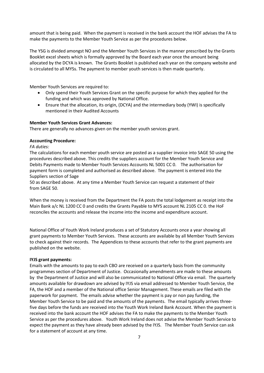amount that is being paid. When the payment is received in the bank account the HOF advises the FA to make the payments to the Member Youth Service as per the procedures below.

The YSG is divided amongst NO and the Member Youth Services in the manner prescribed by the Grants Booklet excel sheets which is formally approved by the Board each year once the amount being allocated by the DCYA is known. The Grants Booklet is published each year on the company website and is circulated to all MYSs. The payment to member youth services is then made quarterly.

Member Youth Services are required to:

- Only spend their Youth Services Grant on the specific purpose for which they applied for the funding and which was approved by National Office.
- Ensure that the allocation, its origin, (DCYA) and the intermediary body (YWI) is specifically mentioned in their Audited Accounts

#### **Member Youth Services Grant Advances:**

There are generally no advances given on the member youth services grant.

#### **Accounting Procedure:**

#### *FA duties:*

The calculations for each member youth service are posted as a supplier invoice into SAGE 50 using the procedures described above. This credits the suppliers account for the Member Youth Service and Debits Payments made to Member Youth Services Accounts NL 5001 CC 0. The authorisation for payment form is completed and authorised as described above. The payment is entered into the Suppliers section of Sage

50 as described above. At any time a Member Youth Service can request a statement of their from SAGE 50.

When the money is received from the Department the FA posts the total lodgement as receipt into the Main Bank a/c NL 1200 CC 0 and credits the Grants Payable to MYS account NL 2105 CC 0. the HoF reconciles the accounts and release the income into the income and expenditure account.

National Office of Youth Work Ireland produces a set of Statutory Accounts once a year showing all grant payments to Member Youth Services. These accounts are available by all Member Youth Services to check against their records. The Appendices to these accounts that refer to the grant payments are published on the website.

#### **IYJS grant payments:**

Emails with the amounts to pay to each CBO are received on a quarterly basis from the community programmes section of Department of Justice. Occasionally amendments are made to these amounts by the Department of Justice and will also be communicated to National Office via email. The quarterly amounts available for drawdown are advised by IYJS via email addressed to Member Youth Service, the FA, the HOF and a member of the National office Senior Management. These emails are filed with the paperwork for payment. The emails advise whether the payment is pay or non pay funding, the Member Youth Service to be paid and the amounts of the payments. The email typically arrives threefive days before the funds are received into the Youth Work Ireland Bank Account. When the payment is received into the bank account the HOF advises the FA to make the payments to the Member Youth Service as per the procedures above. Youth Work Ireland does not advise the Member Youth Service to expect the payment as they have already been advised by the IYJS. The Member Youth Service can ask for a statement of account at any time.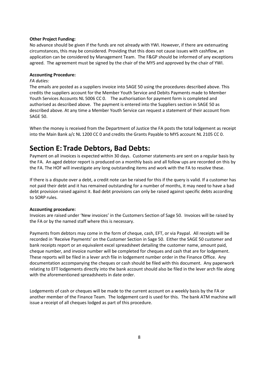#### **Other Project Funding:**

No advance should be given if the funds are not already with YWI. However, if there are extenuating circumstances, this may be considered. Providing that this does not cause issues with cashflow, an application can be considered by Management Team. The F&GP should be informed of any exceptions agreed. The agreement must be signed by the chair of the MYS and approved by the chair of YWI.

## **Accounting Procedure:**

#### *FA duties:*

The emails are posted as a suppliers invoice into SAGE 50 using the procedures described above. This credits the suppliers account for the Member Youth Service and Debits Payments made to Member Youth Services Accounts NL 5006 CC 0. The authorisation for payment form is completed and authorised as described above. The payment is entered into the Suppliers section in SAGE 50 as described above. At any time a Member Youth Service can request a statement of their account from SAGE 50.

When the money is received from the Department of Justice the FA posts the total lodgement as receipt into the Main Bank a/c NL 1200 CC 0 and credits the Grants Payable to MYS account NL 2105 CC 0.

## **Section E: Trade Debtors, Bad Debts:**

Payment on all invoices is expected within 30 days. Customer statements are sent on a regular basis by the FA. An aged debtor report is produced on a monthly basis and all follow ups are recorded on this by the FA. The HOF will investigate any long outstanding items and work with the FA to resolve these.

If there is a dispute over a debt, a credit note can be raised for this if the query is valid. If a customer has not paid their debt and it has remained outstanding for a number of months, it may need to have a bad debt provision raised against it. Bad debt provisions can only be raised against specific debts according to SORP rules.

#### **Accounting procedure:**

Invoices are raised under 'New invoices' in the Customers Section of Sage 50. Invoices will be raised by the FA or by the named staff where this is necessary.

Payments from debtors may come in the form of cheque, cash, EFT, or via Paypal. All receipts will be recorded in 'Receive Payments' on the Customer Section in Sage 50. Either the SAGE 50 customer and bank receipts report or an equivalent excel spreadsheet detailing the customer name, amount paid, cheque number, and invoice number will be completed for cheques and cash that are for lodgement. These reports will be filed in a lever arch file in lodgement number order in the Finance Office. Any documentation accompanying the cheques or cash should be filed with this document. Any paperwork relating to EFT lodgements directly into the bank account should also be filed in the lever arch file along with the aforementioned spreadsheets in date order.

Lodgements of cash or cheques will be made to the current account on a weekly basis by the FA or another member of the Finance Team. The lodgement card is used for this. The bank ATM machine will issue a receipt of all cheques lodged as part of this procedure.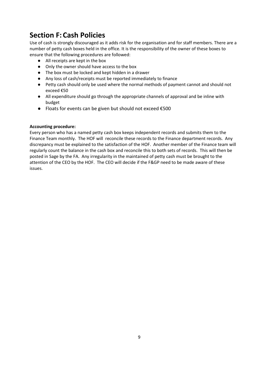# **Section F: Cash Policies**

Use of cash is strongly discouraged as it adds risk for the organisation and for staff members. There are a number of petty cash boxes held in the office. It is the responsibility of the owner of these boxes to ensure that the following procedures are followed:

- All receipts are kept in the box
- Only the owner should have access to the box
- The box must be locked and kept hidden in a drawer
- Any loss of cash/receipts must be reported immediately to finance
- Petty cash should only be used where the normal methods of payment cannot and should not exceed €50
- All expenditure should go through the appropriate channels of approval and be inline with budget
- Floats for events can be given but should not exceed €500

## **Accounting procedure:**

Every person who has a named petty cash box keeps independent records and submits them to the Finance Team monthly. The HOF will reconcile these records to the Finance department records. Any discrepancy must be explained to the satisfaction of the HOF. Another member of the Finance team will regularly count the balance in the cash box and reconcile this to both sets of records. This will then be posted in Sage by the FA. Any irregularity in the maintained of petty cash must be brought to the attention of the CEO by the HOF. The CEO will decide if the F&GP need to be made aware of these issues.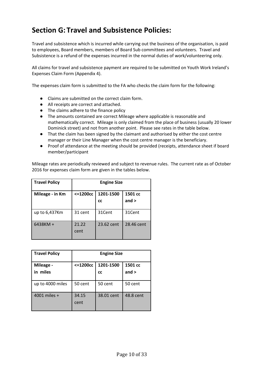# **Section G: Travel and Subsistence Policies:**

Travel and subsistence which is incurred while carrying out the business of the organisation, is paid to employees, Board members, members of Board Sub committees and volunteers. Travel and Subsistence is a refund of the expenses incurred in the normal duties of work/volunteering only.

All claims for travel and subsistence payment are required to be submitted on Youth Work Ireland's Expenses Claim Form (Appendix 4).

The expenses claim form is submitted to the FA who checks the claim form for the following:

- Claims are submitted on the correct claim form.
- All receipts are correct and attached.
- The claims adhere to the finance policy
- The amounts contained are correct Mileage where applicable is reasonable and mathematically correct. Mileage is only claimed from the place of business (usually 20 lower Dominick street) and not from another point. Please see rates in the table below.
- That the claim has been signed by the claimant and authorised by either the cost centre manager or their Line Manager when the cost centre manager is the beneficiary.
- Proof of attendance at the meeting should be provided (receipts, attendance sheet if board member/participant

Mileage rates are periodically reviewed and subject to revenue rules. The current rate as of October 2016 for expenses claim form are given in the tables below.

| <b>Travel Policy</b> | <b>Engine Size</b> |                        |                    |
|----------------------|--------------------|------------------------|--------------------|
| Mileage - in Km      | $< = 1200cc$       | 1201-1500<br><b>CC</b> | 1501 cc<br>and $>$ |
| up to 6,437Km        | 31 cent            | 31Cent                 | 31Cent             |
| 6438KM +             | 21.22<br>cent      | 23.62 cent             | 28.46 cent         |

| <b>Travel Policy</b>  |               | <b>Engine Size</b>     |                    |
|-----------------------|---------------|------------------------|--------------------|
| Mileage -<br>in miles | $< = 1200cc$  | 1201-1500<br><b>CC</b> | 1501 cc<br>and $>$ |
| up to 4000 miles      | 50 cent       | 50 cent                | 50 cent            |
| 4001 miles +          | 34.15<br>cent | 38.01 cent             | 48.8 cent          |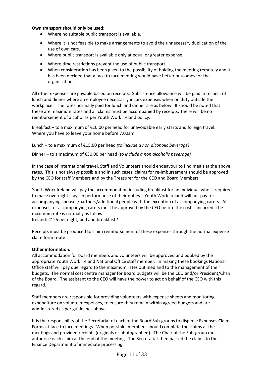### **Own transport should only be used:**

- Where no suitable public transport is available.
- Where it is not feasible to make arrangements to avoid the unnecessary duplication of the use of own cars.
- Where public transport is available only at equal or greater expense.
- Where time restrictions prevent the use of public transport.
- When consideration has been given to the possibility of holding the meeting remotely and it has been decided that a face to face meeting would have better outcomes for the organisation.

All other expenses are payable based on receipts. Subsistence allowance will be paid in respect of lunch and dinner where an employee necessarily incurs expenses when on duty outside the workplace. The rates normally paid for lunch and dinner are as below. It should be noted that these are maximum rates and all claims must be accompanied by receipts. There will be no reimbursement of alcohol as per Youth Work Ireland policy.

Breakfast – to a maximum of €10.00 per head for unavoidable early starts and foreign travel. Where you have to leave your home before 7.00am.

Lunch – to a maximum of €15.00 per head *(to include a non alcoholic beverage)*

Dinner – to a maximum of €30.00 per head (*to include a non alcoholic beverage)*

In the case of international travel, Staff and Volunteers should endeavour to find meals at the above rates. This is not always possible and in such cases, claims for re-imbursement should be approved by the CEO for staff Members and by the Treasurer for the CEO and Board Members

Youth Work Ireland will pay the accommodation including breakfast for an individual who is required to make overnight stays in performance of their duties. Youth Work Ireland will not pay for accompanying spouses/partners/additional people with the exception of accompanying carers. All expenses for accompanying carers must be approved by the CEO before the cost is incurred. The maximum rate is normally as follows:

Ireland: €125 per night, bed and breakfast \*

Receipts must be produced to claim reimbursement of these expenses through the normal expense claim form route.

#### **Other information:**

All accommodation for board members and volunteers will be approved and booked by the appropriate Youth Work Ireland National Office staff member. In making these bookings National Office staff will pay due regard to the maximum rates outlined and to the management of their budgets. The normal cost centre manager for Board budgets will be the CEO and/or President/Chair of the Board. The assistant to the CEO will have the power to act on behalf of the CEO with this regard.

Staff members are responsible for providing volunteers with expense sheets and monitoring expenditure on volunteer expenses, to ensure they remain within agreed budgets and are administered as per guidelines above.

It is the responsibility of the Secretariat of each of the Board Sub-groups to disperse Expenses Claim Forms at face to face meetings. When possible, members should complete the claims at the meetings and provided receipts (originals or photographed). The Chair of the Sub-group must authorise each claim at the end of the meeting. The Secretariat then passed the claims to the Finance Department of immediate processing.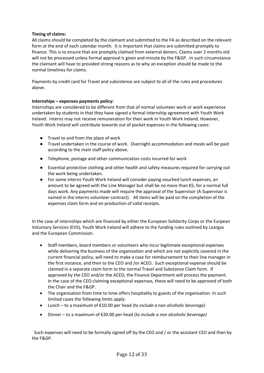## **Timing of claims:**

All claims should be completed by the claimant and submitted to the FA as described on the relevant form at the end of each calendar month. It is important that claims are submitted promptly to finance. This is to ensure that are promptly claimed from external donors. Claims over 2 months old will not be processed unless formal approval is given and minute by the F&GP. In such circumstance the claimant will have to provided strong reasons as to why an exception should be made to the normal timelines for claims.

Payments by credit card for Travel and subsistence are subject to all of the rules and procedures above.

### **Internships – expenses payments policy:**

Internships are considered to be different from that of normal volunteer work or work experience undertaken by students in that they have signed a formal internship agreement with Youth Work Ireland. Interns may not receive remuneration for their work in Youth Work Ireland. However, Youth Work Ireland will contribute towards out of pocket expenses in the following cases:

- Travel to and from the place of work
- Travel undertaken in the course of work. Overnight accommodation and meals will be paid according to the main staff policy above.
- Telephone, postage and other communication costs incurred for work
- Essential protective clothing and other health and safety measures required for carrying out the work being undertaken.
- For some interns Youth Work Ireland will consider paying vouched lunch expenses, an amount to be agreed with the Line Manager but shall be no more than €5, for a normal full days work. Any payments made will require the approval of the Supervisor (A Supervisor is named in the interns volunteer contract). All items will be paid on the completion of the expenses claim form and on production of valid receipts.

In the case of internships which are financed by either the European Solidarity Corps or the Eurpean Voluntary Services (EVS), Youth Work Ireland will adhere to the funding rules outlined by Leargas and the European Commission.

- Staff members, board members or volunteers who incur legitimate exceptional expenses while delivering the business of the organisation and which are not explicitly covered in the current financial policy, will need to make a case for reimbursement to their line manager in the first instance, and then to the CEO and /or ACEO. Such exceptional expense should be claimed in a separate claim form to the normal Travel and Substance Claim form. If approved by the CEO and/or the ACEO, the Finance Department will process the payment. In the case of the CEO claiming exceptional expenses, these will need to be approved of both the Chair and the F&GP.
- The organisation from time to time offers hospitality to guests of the organisation. In such limited cases the following limits apply:
- Lunch to a maximum of €10.00 per head *(to include a non alcoholic beverage)*
- Dinner to a maximum of €20.00 per head (*to include a non alcoholic beverage)*

 Such expenses will need to be formally signed off by the CEO and / or the assistant CEO and then by the F&GP.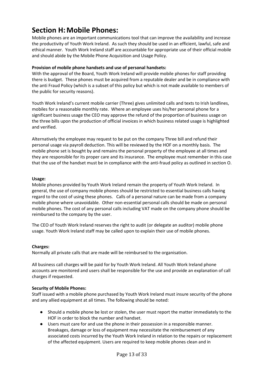# **Section H:Mobile Phones:**

Mobile phones are an important communications tool that can improve the availability and increase the productivity of Youth Work Ireland. As such they should be used in an efficient, lawful, safe and ethical manner. Youth Work Ireland staff are accountable for appropriate use of their official mobile and should abide by the Mobile Phone Acquisition and Usage Policy.

## **Provision of mobile phone handsets and use of personal handsets:**

With the approval of the Board, Youth Work Ireland will provide mobile phones for staff providing there is budget. These phones must be acquired from a reputable dealer and be in compliance with the anti Fraud Policy (which is a subset of this policy but which is not made available to members of the public for security reasons).

Youth Work Ireland's current mobile carrier (Three) gives unlimited calls and texts to Irish landlines, mobiles for a reasonable monthly rate. Where an employee uses his/her personal phone for a significant business usage the CEO may approve the refund of the proportion of business usage on the three bills upon the production of official invoices in which business related usage is highlighted and verified.

Alternatively the employee may request to be put on the company Three bill and refund their personal usage via payroll deduction. This will be reviewed by the HOF on a monthly basis. The mobile phone set is bought by and remains the personal property of the employee at all times and they are responsible for its proper care and its insurance. The employee must remember in this case that the use of the handset must be in compliance with the anti-fraud policy as outlined in section O.

### **Usage:**

Mobile phones provided by Youth Work Ireland remain the property of Youth Work Ireland. In general, the use of company mobile phones should be restricted to essential business calls having regard to the cost of using these phones. Calls of a personal nature can be made from a company mobile phone where unavoidable. Other non-essential personal calls should be made on personal mobile phones. The cost of any personal calls including VAT made on the company phone should be reimbursed to the company by the user.

The CEO of Youth Work Ireland reserves the right to audit (or delegate an auditor) mobile phone usage. Youth Work Ireland staff may be called upon to explain their use of mobile phones.

#### **Charges:**

Normally all private calls that are made will be reimbursed to the organisation.

All business call charges will be paid for by Youth Work Ireland. All Youth Work Ireland phone accounts are monitored and users shall be responsible for the use and provide an explanation of call charges if requested.

## **Security of Mobile Phones:**

Staff issued with a mobile phone purchased by Youth Work Ireland must insure security of the phone and any allied equipment at all times. The following should be noted:

- Should a mobile phone be lost or stolen, the user must report the matter immediately to the HOF in order to block the number and handset.
- Users must care for and use the phone in their possession in a responsible manner. Breakages, damage or loss of equipment may necessitate the reimbursement of any associated costs incurred by the Youth Work Ireland in relation to the repairs or replacement of the affected equipment. Users are required to keep mobile phones clean and in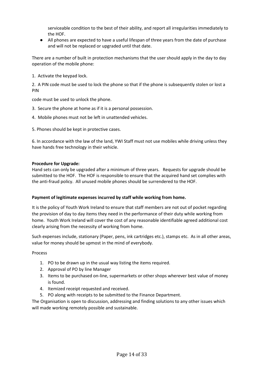serviceable condition to the best of their ability, and report all irregularities immediately to the HOF.

● All phones are expected to have a useful lifespan of three years from the date of purchase and will not be replaced or upgraded until that date.

There are a number of built in protection mechanisms that the user should apply in the day to day operation of the mobile phone:

1. Activate the keypad lock.

2. A PIN code must be used to lock the phone so that if the phone is subsequently stolen or lost a PIN

code must be used to unlock the phone.

- 3. Secure the phone at home as if it is a personal possession.
- 4. Mobile phones must not be left in unattended vehicles.
- 5. Phones should be kept in protective cases.

6. In accordance with the law of the land, YWI Staff must not use mobiles while driving unless they have hands free technology in their vehicle.

#### **Procedure for Upgrade:**

Hand sets can only be upgraded after a minimum of three years. Requests for upgrade should be submitted to the HOF. The HOF is responsible to ensure that the acquired hand set complies with the anti-fraud policy. All unused mobile phones should be surrendered to the HOF.

#### **Payment of legitimate expenses incurred by staff while working from home.**

It is the policy of Youth Work Ireland to ensure that staff members are not out of pocket regarding the provision of day to day items they need in the performance of their duty while working from home. Youth Work Ireland will cover the cost of any reasonable identifiable agreed additional cost clearly arising from the necessity of working from home.

Such expenses include, stationary (Paper, pens, ink cartridges etc.), stamps etc. As in all other areas, value for money should be upmost in the mind of everybody.

Process

- 1. PO to be drawn up in the usual way listing the items required.
- 2. Approval of PO by line Manager
- 3. Items to be purchased on-line, supermarkets or other shops wherever best value of money is found.
- 4. Itemized receipt requested and received.
- 5. PO along with receipts to be submitted to the Finance Department.

The Organisation is open to discussion, addressing and finding solutions to any other issues which will made working remotely possible and sustainable.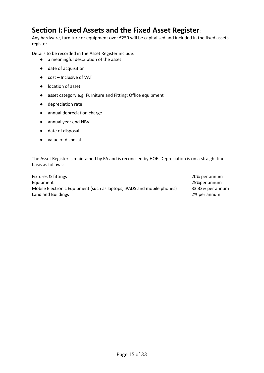## **Section I: Fixed Assets and the Fixed Asset Register**:

Any hardware, furniture or equipment over €250 will be capitalised and included in the fixed assets register.

Details to be recorded in the Asset Register include:

- a meaningful description of the asset
- date of acquisition
- cost Inclusive of VAT
- location of asset
- asset category e.g. Furniture and Fitting; Office equipment
- depreciation rate
- annual depreciation charge
- annual year end NBV
- date of disposal
- value of disposal

The Asset Register is maintained by FA and is reconciled by HOF. Depreciation is on a straight line basis as follows:

| Fixtures & fittings                                                    | 20% per annum    |
|------------------------------------------------------------------------|------------------|
| Equipment                                                              | 25%per annum     |
| Mobile Electronic Equipment (such as laptops, iPADS and mobile phones) | 33.33% per annum |
| Land and Buildings                                                     | 2% per annum     |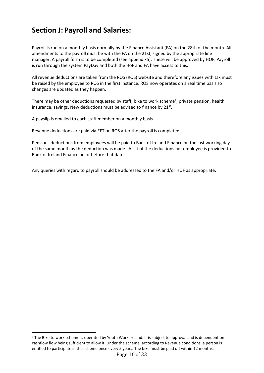# **Section J: Payroll and Salaries:**

Payroll is run on a monthly basis normally by the Finance Assistant (FA) on the 28th of the month. All amendments to the payroll must be with the FA on the 21st, signed by the appropriate line manager. A payroll form is to be completed (see appendix5). These will be approved by HOF. Payroll is run through the system PayDay and both the HoF and FA have access to this.

All revenue deductions are taken from the ROS (ROS) website and therefore any issues with tax must be raised by the employee to ROS in the first instance. ROS now operates on a real time basis so changes are updated as they happen.

There may be other deductions requested by staff; bike to work scheme<sup>1</sup>, private pension, health insurance, savings. New deductions must be advised to finance by 21<sup>st</sup>.

A payslip is emailed to each staff member on a monthly basis.

Revenue deductions are paid via EFT on ROS after the payroll is completed.

Pensions deductions from employees will be paid to Bank of Ireland Finance on the last working day of the same month as the deduction was made. A list of the deductions per employee is provided to Bank of Ireland Finance on or before that date.

Any queries with regard to payroll should be addressed to the FA and/or HOF as appropriate.

 $1$  The Bike to work scheme is operated by Youth Work Ireland. It is subject to approval and is dependent on cashflow flow being sufficient to allow it. Under the scheme, according to Revenue conditions, a person is entitled to participate in the scheme once every 5 years. The bike must be paid off within 12 months.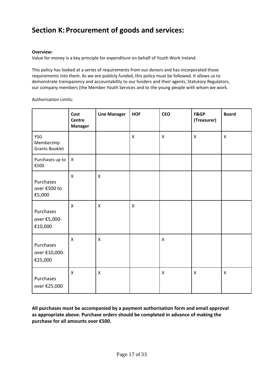## **Section K: Procurement of goods and services:**

## **Overview:**

Value for money is a key principle for expenditure on behalf of Youth Work Ireland.

This policy has looked at a series of requirements from our donors and has incorporated those requirements into them. As we are publicly funded, this policy must be followed. It allows us to demonstrate transparency and accountability to our funders and their agents, Statutory Regulators, our company members (the Member Youth Services and to the young people with whom we work.

Authorisation Limits:

|                                            | Cost<br>Centre<br><b>Manager</b> | <b>Line Manager</b> | <b>HOF</b>         | <b>CEO</b>         | F&GP<br>(Treasurer) | <b>Board</b>   |
|--------------------------------------------|----------------------------------|---------------------|--------------------|--------------------|---------------------|----------------|
| YSG<br>Membership<br><b>Grants Booklet</b> |                                  |                     | $\pmb{\mathsf{X}}$ | $\pmb{\mathsf{X}}$ | $\pmb{\mathsf{X}}$  | $\mathsf X$    |
| Purchases up to<br>€500                    | $\boldsymbol{X}$                 |                     |                    |                    |                     |                |
| Purchases<br>over €500 to<br>€5,000        | $\mathsf{x}$                     | $\mathsf{x}$        |                    |                    |                     |                |
| Purchases<br>over €5,000-<br>€10,000       | $\mathsf{x}$                     | X                   | $\pmb{\mathsf{X}}$ |                    |                     |                |
| Purchases<br>over €10,000-<br>€25,000      | $\mathsf{X}$                     | $\mathsf{x}$        |                    | $\mathsf{x}$       |                     |                |
| Purchases<br>over €25,000                  | $\pmb{\mathsf{X}}$               | X                   |                    | $\mathsf{X}$       | $\mathsf{x}$        | $\pmb{\times}$ |

**All purchases must be accompanied by a payment authorisation form and email approval as appropriate above. Purchase orders should be completed in advance of making the purchase for all amounts over €500.**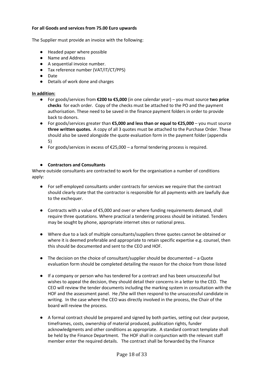### **For all Goods and services from 75.00 Euro upwards**

The Supplier must provide an invoice with the following:

- Headed paper where possible
- Name and Address
- A sequential invoice number.
- Tax reference number (VAT/IT/CT/PPS)
- Date
- Details of work done and charges

### **In addition:**

- For goods/services from **€200 to €5,000** (in one calendar year) you must source **two price checks** for each order. Copy of the checks must be attached to the PO and the payment authorisation. These need to be saved in the finance payment folders in order to provide back to donors.
- For goods/services greater than **€5,000 and less than or equal to €25,000** you must source **three written quotes.** A copy of all 3 quotes must be attached to the Purchase Order. These should also be saved alongside the quote evaluation form in the payment folder (appendix 5)
- $\bullet$  For goods/services in excess of €25,000 a formal tendering process is required.

## ● **Contractors and Consultants**

Where outside consultants are contracted to work for the organisation a number of conditions apply:

- For self-employed consultants under contracts for services we require that the contract should clearly state that the contractor is responsible for all payments with are lawfully due to the exchequer.
- Contracts with a value of  $$5,000$  and over or where funding requirements demand, shall require three quotations. Where practical a tendering process should be initiated. Tenders may be sought by phone, appropriate internet sites or national press.
- Where due to a lack of multiple consultants/suppliers three quotes cannot be obtained or where it is deemed preferable and appropriate to retain specific expertise e.g. counsel, then this should be documented and sent to the CEO and HOF.
- The decision on the choice of consultant/supplier should be documented a Quote evaluation form should be completed detailing the reason for the choice from those listed
- If a company or person who has tendered for a contract and has been unsuccessful but wishes to appeal the decision, they should detail their concerns in a letter to the CEO. The CEO will review the tender documents including the marking system in consultation with the HOF and the assessment panel. He /She will then respond to the unsuccessful candidate in writing. In the case where the CEO was directly involved in the process, the Chair of the board will review the process.
- A formal contract should be prepared and signed by both parties, setting out clear purpose, timeframes, costs, ownership of material produced, publication rights, funder acknowledgments and other conditions as appropriate. A standard contract template shall be held by the Finance Department. The HOF shall in conjunction with the relevant staff member enter the required details. The contract shall be forwarded by the Finance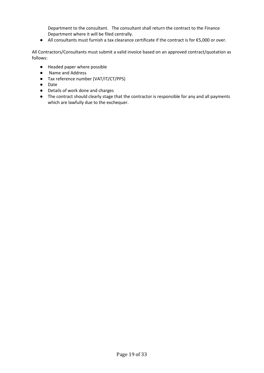Department to the consultant. The consultant shall return the contract to the Finance Department where it will be filed centrally.

● All consultants must furnish a tax clearance certificate if the contract is for €5,000 or over.

All Contractors/Consultants must submit a valid invoice based on an approved contract/quotation as follows:

- Headed paper where possible
- Name and Address
- Tax reference number (VAT/IT/CT/PPS)
- Date
- Details of work done and charges
- The contract should clearly stage that the contractor is responsible for any and all payments which are lawfully due to the exchequer.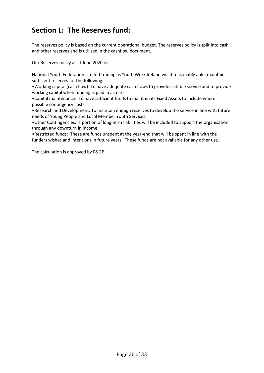# **Section L: The Reserves fund:**

The reserves policy is based on the current operational budget. The reserves policy is split into cash and other reserves and is utilised in the cashflow document.

Our Reserves policy as at June 2020 is:

National Youth Federation Limited trading as Youth Work Ireland will if reasonably able, maintain sufficient reserves for the following:

•Working capital (cash flow): To have adequate cash flows to provide a stable service and to provide working capital when funding is paid in arrears.

•Capital maintenance: To have sufficient funds to maintain its Fixed Assets to include where possible contingency costs.

•Research and Development: To maintain enough reserves to develop the service in line with future needs of Young People and Local Member Youth Services.

•Other Contingencies: a portion of long term liabilities will be included to support the organisation through any downturn in income.

•Restricted funds: These are funds unspent at the year-end that will be spent in line with the funders wishes and intentions in future years. These funds are not available for any other use.

The calculation is approved by F&GP.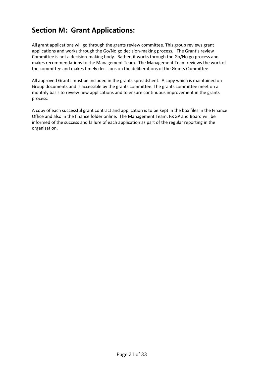# **Section M: Grant Applications:**

All grant applications will go through the grants review committee. This group reviews grant applications and works through the Go/No go decision-making process. The Grant's review Committee is not a decision-making body. Rather, it works through the Go/No go process and makes recommendations to the Management Team. The Management Team reviews the work of the committee and makes timely decisions on the deliberations of the Grants Committee.

All approved Grants must be included in the grants spreadsheet. A copy which is maintained on Group documents and is accessible by the grants committee. The grants committee meet on a monthly basis to review new applications and to ensure continuous improvement in the grants process.

A copy of each successful grant contract and application is to be kept in the box files in the Finance Office and also in the finance folder online. The Management Team, F&GP and Board will be informed of the success and failure of each application as part of the regular reporting in the organisation.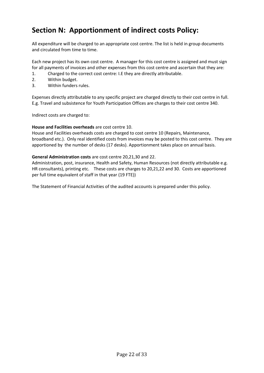## **Section N: Apportionment of indirect costs Policy:**

All expenditure will be charged to an appropriate cost centre. The list is held in group documents and circulated from time to time.

Each new project has its own cost centre. A manager for this cost centre is assigned and must sign for all payments of invoices and other expenses from this cost centre and ascertain that they are:

- 1. Charged to the correct cost centre: I.E they are directly attributable.
- 2. Within budget.
- 3. Within funders rules.

Expenses directly attributable to any specific project are charged directly to their cost centre in full. E.g. Travel and subsistence for Youth Participation Offices are charges to their cost centre 340.

Indirect costs are charged to:

#### **House and Facilities overheads** are cost centre 10.

House and Facilities overheads costs are charged to cost centre 10 (Repairs, Maintenance, broadband etc.). Only real identified costs from invoices may be posted to this cost centre. They are apportioned by the number of desks (17 desks). Apportionment takes place on annual basis.

#### **General Administration costs** are cost centre 20,21,30 and 22.

Administration, post, insurance, Health and Safety, Human Resources (not directly attributable e.g. HR consultants), printing etc. These costs are charges to 20,21,22 and 30. Costs are apportioned per full time equivalent of staff in that year (19 FTE))

The Statement of Financial Activities of the audited accounts is prepared under this policy.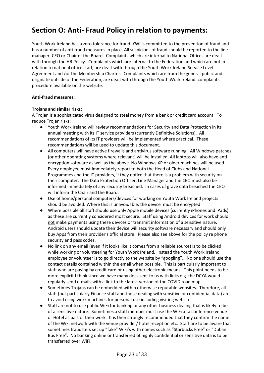## **Section O: Anti- Fraud Policy in relation to payments:**

Youth Work Ireland has a zero tolerance for fraud. YWI is committed to the prevention of fraud and has a number of anti-fraud measures in place. All suspicions of fraud should be reported to the line manager, CEO or Chair of the Board. Complaints which are internal to National Offices are dealt with through the HR Policy. Complaints which are internal to the Federation and which are not in relation to national office staff, are dealt with through the Youth Work Ireland Service Level Agreement and /or the Membership Charter. Complaints which are from the general public and originate outside of the Federation, are dealt with through the Youth Work Ireland complaints procedure available on the website.

#### **Anti-fraud measures:**

### **Trojans and similar risks:**

A Trojan is a sophisticated virus designed to steal money from a bank or credit card account. To reduce Trojan risks:

- Youth Work Ireland will review recommendations for Security and Data Protection in its annual meeting with its IT service providers (currently Definitive Solutions). All recommendations of its IT providers will be implemented where practical. These recommendations will be used to update this document.
- All computers will have active firewalls and antivirus software running. All Windows patches (or other operating systems where relevant) will be installed. All laptops will also have anti encryption software as well as the above. No Windows XP or older machines will be used. Every employee must immediately report to both the Head of Clubs and National Programmes and the IT providers, if they notice that there is a problem with security on their computer. The Data Protection Officer, Line Manager and the CEO must also be informed immediately of any security breached. In cases of grave data breached the CEO will inform the Chair and the Board.
- Use of home/personal computers/devices for working on Youth Work Ireland projects should be avoided. Where this is unavoidable, the device must be encrypted
- Where possible all staff should use only Apple mobile devices (currently iPhones and iPads) as these are currently considered most secure. Staff using Android devices for work should not make payments using these devices or transmit information of a sensitive nature. Android users should update their device will security software necessary and should only buy Apps from their provider's official store. Please also see above for the policy re phone security and pass codes.
- No link on any email (even if it looks like it comes from a reliable source) is to be clicked while working or volunteering for Youth Work Ireland. Instead the Youth Work Ireland employee or volunteer is to go directly to the website by "googling". No one should use the contact details contained within the email when possible. This is particularly important to staff who are paying by credit card or using other electronic means. This point needs to be more explicit I think since we have many docs sent to us with links e.g. the DCYA would regularly send e-mails with a link to the latest version of the COVID road map.
- Sometimes Trojans can be embedded within otherwise reputable websites. Therefore, all staff (but particularly Finance staff and those dealing with sensitive or confidential data) are to avoid using work machines for personal use including visiting websites
- Staff are not to use public WiFi for banking or any other business dealing that is likely to be of a sensitive nature. Sometimes a staff member must use the WiFi at a conference venue or Hotel as part of their work. It is then strongly recommended that they confirm the name of the WiFi network with the venue provider/ hotel reception etc. Staff are to be aware that sometimes fraudsters set up "fake" WiFi's with names such as "Starbucks Free" or "Dublin Bus Free". No banking online or transferred of highly confidential or sensitive data is to be transferred over WiFi.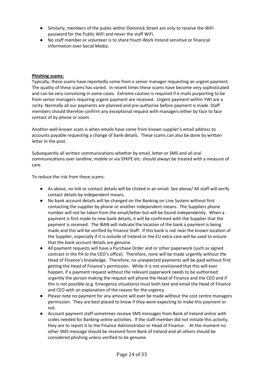- Similarly, members of the public within Dominick Street are only to receive the WiFi password for the Public WiFi and never the staff WiFi.
- No staff member or volunteer is to share Youth Work Ireland sensitive or financial information over Social Media.

### **Phishing scams:**

Typically, these scams have reportedly come from a senior manager requesting an urgent payment. The quality of these scams has varied. In recent times these scams have become very sophisticated and can be very convincing in some cases. Extreme caution is required if e-mails purporting to be from senior managers requiring urgent payment are received. Urgent payment within YWI are a rarity. Normally all our payments are planned and pre-authorise before payment is made. Staff members should therefoe confirm any exceptional request with managers either by face to face contact of by phone or zoom.

Another well-known scam is when emails have come from known supplier's email address to accounts payable requesting a change of bank details. These scams can also be done by written letter in the post.

Subsequently all written communications whether by email, letter or SMS and all oral communications over landline, mobile or via SYKPE etc. should always be treated with a measure of care.

To reduce the risk from these scams:

- As above, no link or contact details will be clicked in an email. See above/ All staff will verify contact details by independent means.
- No bank account details will be changed on the Banking on Line System without first contacting the supplier by phone or another independent means. The Suppliers phone number will not be taken from the email/letter but will be found independently. When a payment is first made to new bank details, it will be confirmed with the Supplier that the payment is received. The IBAN will indicate the location of the bank a payment is being made and this will be verified by Finance Staff. If this bank is not near the known location of the Supplier, especially if it is outside of Ireland or the EU extra care will be used to ensure that the bank account details are genuine.
- All payment requests will have a Purchase Order and or other paperwork (such as signed contract in the PA to the CEO's office). Therefore, none will be made urgently without the Head of Finance's knowledge. Therefore, no unexpected payments will be paid without first getting the Head of Finance's permission. While it is not envisioned that this will ever happen, if a payment request without the relevant paperwork needs to be authorised urgently the person making the request will phone the Head of Finance and the CEO and if this is not possible (e.g. Emergency situations) must both text and email the Head of Finance and CEO with an explanation of the reason for the urgency.
- Please note no payment for any amount will ever be made without the cost centre managers permission. They are best placed to know if they were expecting to make this payment or not.
- Account payment staff sometimes receive SMS messages from Bank of Ireland online with codes needed for Banking online activities. If the staff member did not initiate this activity, they are to report it to the Finance Administrator or Head of Finance. At the moment no other SMS message should be received form Bank of Ireland and all others should be considered phishing unless verified to be genuine.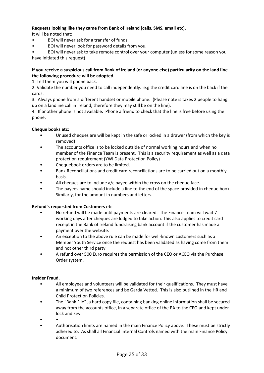## **Requests looking like they came from Bank of Ireland (calls, SMS, email etc).**

It will be noted that:

- BOI will never ask for a transfer of funds.
- BOI will never look for password details from you.

• BOI will never ask to take remote control over your computer (unless for some reason you have initiated this request)

### **If you receive a suspicious call from Bank of Ireland (or anyone else) particularity on the land line the following procedure will be adopted.**

1. Tell them you will phone back.

2. Validate the number you need to call independently. e.g the credit card line is on the back if the cards.

3. Always phone from a different handset or mobile phone. (Please note is takes 2 people to hang up on a landline call in Ireland, therefore they may still be on the line).

4. If another phone is not available. Phone a friend to check that the line is free before using the phone.

## **Cheque books etc:**

- Unused cheques are will be kept in the safe or locked in a drawer (from which the key is removed)
- The accounts office is to be locked outside of normal working hours and when no member of the Finance Team is present. This is a security requirement as well as a data protection requirement (YWI Data Protection Policy)
- Chequebook orders are to be limited.
- Bank Reconciliations and credit card reconciliations are to be carried out on a monthly basis.
- All cheques are to include  $a/c$  payee within the cross on the cheque face.
- The payees name should include a line to the end of the space provided in cheque book. Similarly, for the amount in numbers and letters.

## **Refund's requested from Customers etc**.

- No refund will be made until payments are cleared. The Finance Team will wait 7 working days after cheques are lodged to take action. This also applies to credit card receipt in the Bank of Ireland fundraising bank account if the customer has made a payment over the website.
- An exception to the above rule can be made for well-known customers such as a Member Youth Service once the request has been validated as having come from them and not other third party.
- A refund over 500 Euro requires the permission of the CEO or ACEO via the Purchase Order system.

## **Insider Fraud.**

- All employees and volunteers will be validated for their qualifications. They must have a minimum of two references and be Garda Vetted. This is also outlined in the HR and Child Protection Policies.
- The "Bank File" ,a hard copy file, containing banking online information shall be secured away from the accounts office, in a separate office of the PA to the CEO and kept under lock and key.
- •
- Authorisation limits are named in the main Finance Policy above. These must be strictly adhered to. As shall all Financial Internal Controls named with the main Finance Policy document.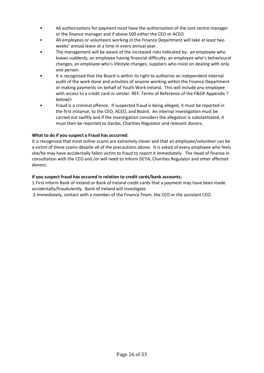- All authorisations for payment must have the authorisation of the cost centre manager or the finance manager and if above 500 either the CEO or ACEO
- All employees or volunteers working in the Finance Department will take at least two weeks' annual leave at a time in every annual year.
- The management will be aware of the increased risks indicated by: an employee who leaves suddenly, an employee having financial difficulty, an employee who's behavioural changes, an employee who's lifestyle changes, suppliers who insist on dealing with only one person.
- It is recognised that the Board is within its right to authorise an independent internal audit of the work done and activities of anyone working within the Finance Department or making payments on behalf of Youth Work Ireland. This will include any employee with access to a credit card or similar. REF: Terms of Reference of the F&GP Appendix ? below)>
- Fraud is a criminal offence. If suspected fraud is being alleged, it must be reported in the first instance, to the CEO, ACEO, and Board. An internal investigation must be carried out swiftly and if the investigation considers the allegation is substantiated, it must then be reported to Gardai, Charities Regulator and relevant donors.

## **What to do if you suspect a Fraud has occurred:**

It is recognised that most online scams are extremely clever and that an employee/volunteer can be a victim of these scams despite all of the precautions above. It is asked of every employee who feels she/he may have accidentally fallen victim to fraud to report it immediately. The Head of finance in consultation with the CEO and /or will need to inform DCYA, Charities Regulator and other affected donors.

### **If you suspect fraud has occured in relation to credit cards/bank accounts;**

1.First inform Bank of Ireland or Bank of Ireland credit cards that a payment may have been made accidentally/fraudulently. Bank of Ireland will investigate.

2.Immediately, contact with a member of the Finance Team, the CEO or the assistant CEO.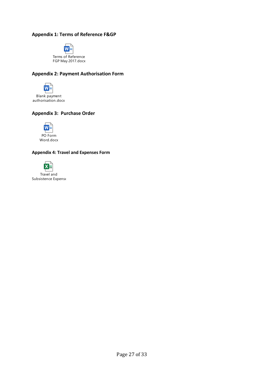## **Appendix 1: Terms of Reference F&GP**



## **Appendix 2: Payment Authorisation Form**



## **Appendix 3: Purchase Order**



#### **Appendix 4: Travel and Expenses Form**



Travel and Subsistence Expense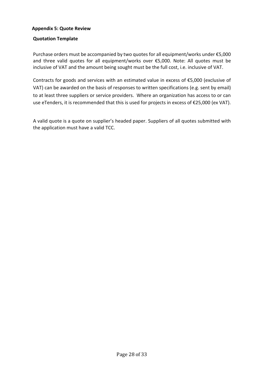## **Appendix 5: Quote Review**

## **Quotation Template**

Purchase orders must be accompanied by two quotes for all equipment/works under €5,000 and three valid quotes for all equipment/works over €5,000. Note: All quotes must be inclusive of VAT and the amount being sought must be the full cost, i.e. inclusive of VAT.

Contracts for goods and services with an estimated value in excess of €5,000 (exclusive of VAT) can be awarded on the basis of responses to written specifications (e.g. sent by email) to at least three suppliers or service providers. Where an organization has access to or can use eTenders, it is recommended that this is used for projects in excess of €25,000 (ex VAT).

A valid quote is a quote on supplier's headed paper. Suppliers of all quotes submitted with the application must have a valid TCC.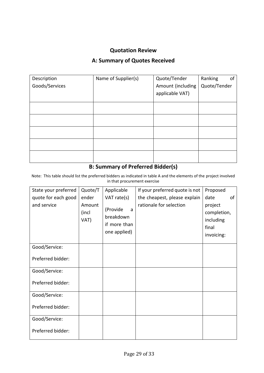## **Quotation Review**

## **A: Summary of Quotes Received**

| Description<br>Goods/Services | Name of Supplier(s) | Quote/Tender<br>Amount (including | Ranking<br>of<br>Quote/Tender |
|-------------------------------|---------------------|-----------------------------------|-------------------------------|
|                               |                     | applicable VAT)                   |                               |
|                               |                     |                                   |                               |
|                               |                     |                                   |                               |
|                               |                     |                                   |                               |
|                               |                     |                                   |                               |
|                               |                     |                                   |                               |

## **B: Summary of Preferred Bidder(s)**

Note: This table should list the preferred bidders as indicated in table A and the elements of the project involved in that procurement exercise

| State your preferred | Quote/T                 | Applicable                                                 | If your preferred quote is not | Proposed                                                   |    |
|----------------------|-------------------------|------------------------------------------------------------|--------------------------------|------------------------------------------------------------|----|
| quote for each good  | ender                   | VAT rate(s)                                                | the cheapest, please explain   | date                                                       | of |
| and service          | Amount<br>(incl<br>VAT) | (Provide<br>a<br>breakdown<br>if more than<br>one applied) | rationale for selection        | project<br>completion,<br>including<br>final<br>invoicing: |    |
| Good/Service:        |                         |                                                            |                                |                                                            |    |
| Preferred bidder:    |                         |                                                            |                                |                                                            |    |
| Good/Service:        |                         |                                                            |                                |                                                            |    |
| Preferred bidder:    |                         |                                                            |                                |                                                            |    |
| Good/Service:        |                         |                                                            |                                |                                                            |    |
| Preferred bidder:    |                         |                                                            |                                |                                                            |    |
| Good/Service:        |                         |                                                            |                                |                                                            |    |
| Preferred bidder:    |                         |                                                            |                                |                                                            |    |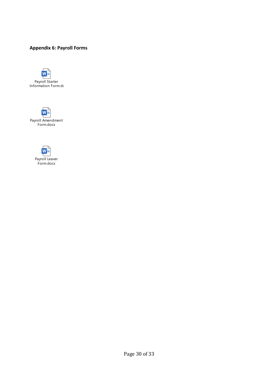## **Appendix 6: Payroll Forms**





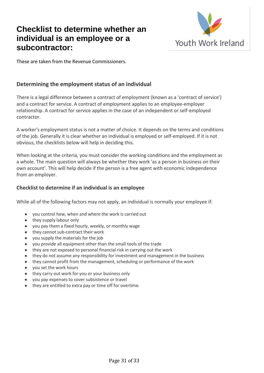# **Checklist to determine whether an individual is an employee or a subcontractor:**



These are taken from the Revenue Commissioners.

## **Determining the employment status of an individual**

There is a legal difference between a contract of employment (known as a 'contract of service') and a contract for service. A contract of employment applies to an employee-employer relationship. A contract for service applies in the case of an independent or self-employed contractor.

A worker's employment status is not a matter of choice. It depends on the terms and conditions of the job. Generally it is clear whether an individual is employed or self-employed. If it is not obvious, the checklists below will help in deciding this.

When looking at the criteria, you must consider the working conditions and the employment as a whole. The main question will always be whether they work 'as a person in business on their own account'. This will help decide if the person is a free agent with economic independence from an employer.

## **Checklist to determine if an individual is an employee**

While all of the following factors may not apply, an individual is normally your employee if:

- you control how, when and where the work is carried out
- they supply labour only
- you pay them a fixed hourly, weekly, or monthly wage
- they cannot sub-contract their work
- you supply the materials for the job
- you provide all equipment other than the small tools of the trade
- they are not exposed to personal financial risk in carrying out the work
- they do not assume any responsibility for investment and management in the business
- they cannot profit from the management, scheduling or performance of the work
- you set the work hours
- they carry out work for you or your business only
- you pay expenses to cover subsistence or travel
- they are entitled to extra pay or time off for overtime.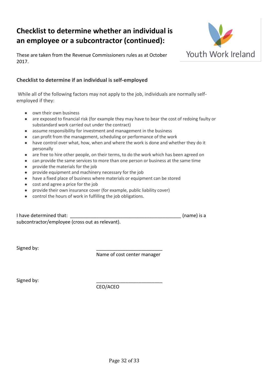# **Checklist to determine whether an individual is an employee or a subcontractor (continued):**



These are taken from the Revenue Commissioners rules as at October 2017.

## **Checklist to determine if an individual is self-employed**

While all of the following factors may not apply to the job, individuals are normally selfemployed if they:

- own their own business
- are exposed to financial risk (for example they may have to bear the cost of redoing faulty or substandard work carried out under the contract)
- assume responsibility for investment and management in the business
- can profit from the management, scheduling or performance of the work
- have control over what, how, when and where the work is done and whether they do it personally
- are free to hire other people, on their terms, to do the work which has been agreed on
- can provide the same services to more than one person or business at the same time
- provide the materials for the job
- provide equipment and machinery necessary for the job
- have a fixed place of business where materials or equipment can be stored
- cost and agree a price for the job
- provide their own insurance cover (for example, public liability cover)
- control the hours of work in fulfilling the job obligations.

| I have determined that:                         | (name) is a |
|-------------------------------------------------|-------------|
| subcontractor/employee (cross out as relevant). |             |

Signed by:

Name of cost center manager

Signed by:

CEO/ACEO